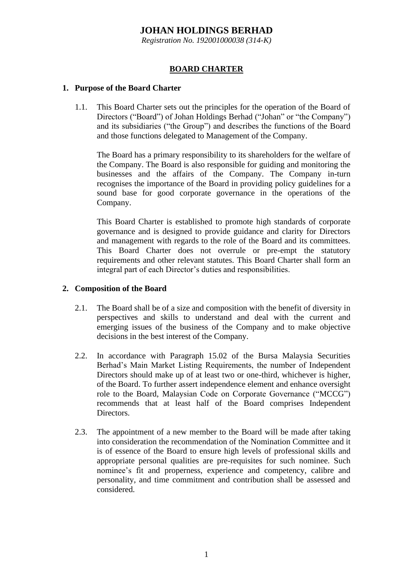# **JOHAN HOLDINGS BERHAD**

*Registration No. 192001000038 (314-K)*

## **BOARD CHARTER**

### **1. Purpose of the Board Charter**

1.1. This Board Charter sets out the principles for the operation of the Board of Directors ("Board") of Johan Holdings Berhad ("Johan" or "the Company") and its subsidiaries ("the Group") and describes the functions of the Board and those functions delegated to Management of the Company.

The Board has a primary responsibility to its shareholders for the welfare of the Company. The Board is also responsible for guiding and monitoring the businesses and the affairs of the Company. The Company in-turn recognises the importance of the Board in providing policy guidelines for a sound base for good corporate governance in the operations of the Company.

This Board Charter is established to promote high standards of corporate governance and is designed to provide guidance and clarity for Directors and management with regards to the role of the Board and its committees. This Board Charter does not overrule or pre-empt the statutory requirements and other relevant statutes. This Board Charter shall form an integral part of each Director's duties and responsibilities.

### **2. Composition of the Board**

- 2.1. The Board shall be of a size and composition with the benefit of diversity in perspectives and skills to understand and deal with the current and emerging issues of the business of the Company and to make objective decisions in the best interest of the Company.
- 2.2. In accordance with Paragraph 15.02 of the Bursa Malaysia Securities Berhad's Main Market Listing Requirements, the number of Independent Directors should make up of at least two or one-third, whichever is higher, of the Board. To further assert independence element and enhance oversight role to the Board, Malaysian Code on Corporate Governance ("MCCG") recommends that at least half of the Board comprises Independent Directors.
- 2.3. The appointment of a new member to the Board will be made after taking into consideration the recommendation of the Nomination Committee and it is of essence of the Board to ensure high levels of professional skills and appropriate personal qualities are pre-requisites for such nominee. Such nominee's fit and properness, experience and competency, calibre and personality, and time commitment and contribution shall be assessed and considered.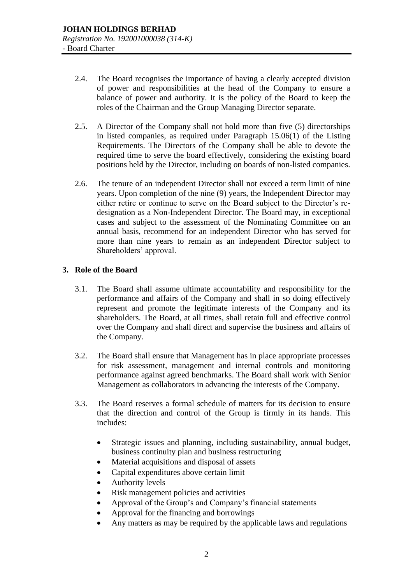- 2.4. The Board recognises the importance of having a clearly accepted division of power and responsibilities at the head of the Company to ensure a balance of power and authority. It is the policy of the Board to keep the roles of the Chairman and the Group Managing Director separate.
- 2.5. A Director of the Company shall not hold more than five (5) directorships in listed companies, as required under Paragraph 15.06(1) of the Listing Requirements. The Directors of the Company shall be able to devote the required time to serve the board effectively, considering the existing board positions held by the Director, including on boards of non-listed companies.
- 2.6. The tenure of an independent Director shall not exceed a term limit of nine years. Upon completion of the nine (9) years, the Independent Director may either retire or continue to serve on the Board subject to the Director's redesignation as a Non-Independent Director. The Board may, in exceptional cases and subject to the assessment of the Nominating Committee on an annual basis, recommend for an independent Director who has served for more than nine years to remain as an independent Director subject to Shareholders' approval.

## **3. Role of the Board**

- 3.1. The Board shall assume ultimate accountability and responsibility for the performance and affairs of the Company and shall in so doing effectively represent and promote the legitimate interests of the Company and its shareholders. The Board, at all times, shall retain full and effective control over the Company and shall direct and supervise the business and affairs of the Company.
- 3.2. The Board shall ensure that Management has in place appropriate processes for risk assessment, management and internal controls and monitoring performance against agreed benchmarks. The Board shall work with Senior Management as collaborators in advancing the interests of the Company.
- 3.3. The Board reserves a formal schedule of matters for its decision to ensure that the direction and control of the Group is firmly in its hands. This includes:
	- Strategic issues and planning, including sustainability, annual budget, business continuity plan and business restructuring
	- Material acquisitions and disposal of assets
	- Capital expenditures above certain limit
	- Authority levels
	- Risk management policies and activities
	- Approval of the Group's and Company's financial statements
	- Approval for the financing and borrowings
	- Any matters as may be required by the applicable laws and regulations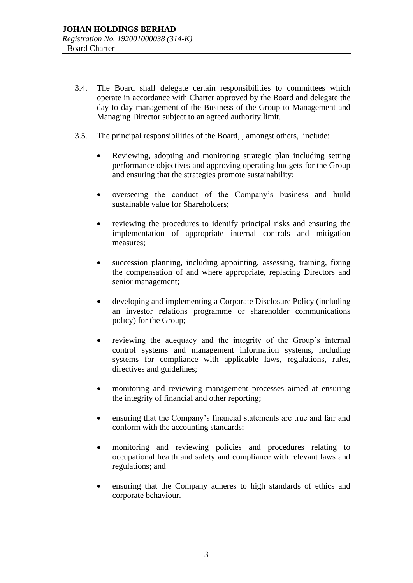- 3.4. The Board shall delegate certain responsibilities to committees which operate in accordance with Charter approved by the Board and delegate the day to day management of the Business of the Group to Management and Managing Director subject to an agreed authority limit.
- 3.5. The principal responsibilities of the Board, , amongst others, include:
	- Reviewing, adopting and monitoring strategic plan including setting performance objectives and approving operating budgets for the Group and ensuring that the strategies promote sustainability;
	- overseeing the conduct of the Company's business and build sustainable value for Shareholders;
	- reviewing the procedures to identify principal risks and ensuring the implementation of appropriate internal controls and mitigation measures;
	- succession planning, including appointing, assessing, training, fixing the compensation of and where appropriate, replacing Directors and senior management;
	- developing and implementing a Corporate Disclosure Policy (including an investor relations programme or shareholder communications policy) for the Group;
	- reviewing the adequacy and the integrity of the Group's internal control systems and management information systems, including systems for compliance with applicable laws, regulations, rules, directives and guidelines;
	- monitoring and reviewing management processes aimed at ensuring the integrity of financial and other reporting;
	- ensuring that the Company's financial statements are true and fair and conform with the accounting standards;
	- monitoring and reviewing policies and procedures relating to occupational health and safety and compliance with relevant laws and regulations; and
	- ensuring that the Company adheres to high standards of ethics and corporate behaviour.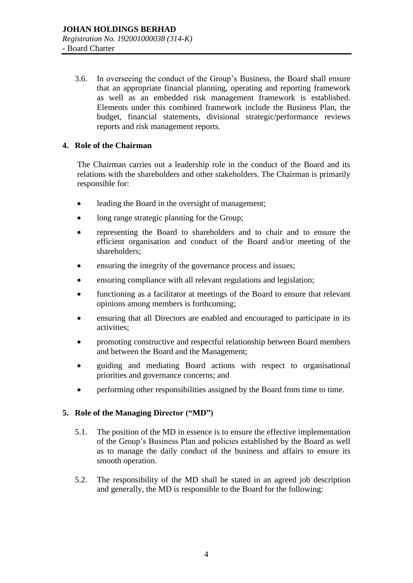3.6. In overseeing the conduct of the Group's Business, the Board shall ensure that an appropriate financial planning, operating and reporting framework as well as an embedded risk management framework is established. Elements under this combined framework include the Business Plan, the budget, financial statements, divisional strategic/performance reviews reports and risk management reports.

### **4. Role of the Chairman**

The Chairman carries out a leadership role in the conduct of the Board and its relations with the shareholders and other stakeholders. The Chairman is primarily responsible for:

- leading the Board in the oversight of management:
- long range strategic planning for the Group;
- representing the Board to shareholders and to chair and to ensure the efficient organisation and conduct of the Board and/or meeting of the shareholders;
- ensuring the integrity of the governance process and issues;
- ensuring compliance with all relevant regulations and legislation;
- functioning as a facilitator at meetings of the Board to ensure that relevant opinions among members is forthcoming;
- ensuring that all Directors are enabled and encouraged to participate in its activities;
- promoting constructive and respectful relationship between Board members and between the Board and the Management;
- guiding and mediating Board actions with respect to organisational priorities and governance concerns; and
- performing other responsibilities assigned by the Board from time to time.

## **5. Role of the Managing Director ("MD")**

- 5.1. The position of the MD in essence is to ensure the effective implementation of the Group's Business Plan and policies established by the Board as well as to manage the daily conduct of the business and affairs to ensure its smooth operation.
- 5.2. The responsibility of the MD shall be stated in an agreed job description and generally, the MD is responsible to the Board for the following: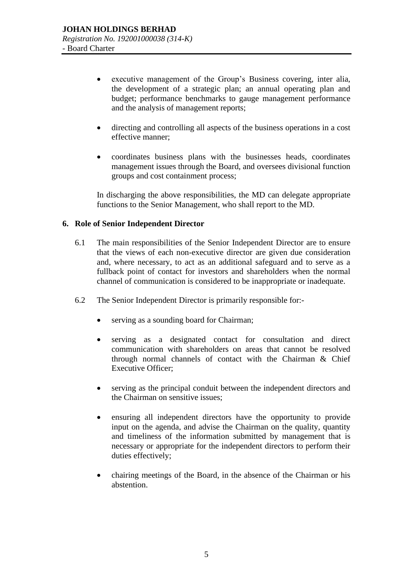- executive management of the Group's Business covering, inter alia, the development of a strategic plan; an annual operating plan and budget; performance benchmarks to gauge management performance and the analysis of management reports;
- directing and controlling all aspects of the business operations in a cost effective manner;
- coordinates business plans with the businesses heads, coordinates management issues through the Board, and oversees divisional function groups and cost containment process;

In discharging the above responsibilities, the MD can delegate appropriate functions to the Senior Management, who shall report to the MD.

#### **6. Role of Senior Independent Director**

- 6.1 The main responsibilities of the Senior Independent Director are to ensure that the views of each non-executive director are given due consideration and, where necessary, to act as an additional safeguard and to serve as a fullback point of contact for investors and shareholders when the normal channel of communication is considered to be inappropriate or inadequate.
- 6.2 The Senior Independent Director is primarily responsible for:-
	- serving as a sounding board for Chairman;
	- serving as a designated contact for consultation and direct communication with shareholders on areas that cannot be resolved through normal channels of contact with the Chairman & Chief Executive Officer;
	- serving as the principal conduit between the independent directors and the Chairman on sensitive issues;
	- ensuring all independent directors have the opportunity to provide input on the agenda, and advise the Chairman on the quality, quantity and timeliness of the information submitted by management that is necessary or appropriate for the independent directors to perform their duties effectively;
	- chairing meetings of the Board, in the absence of the Chairman or his abstention.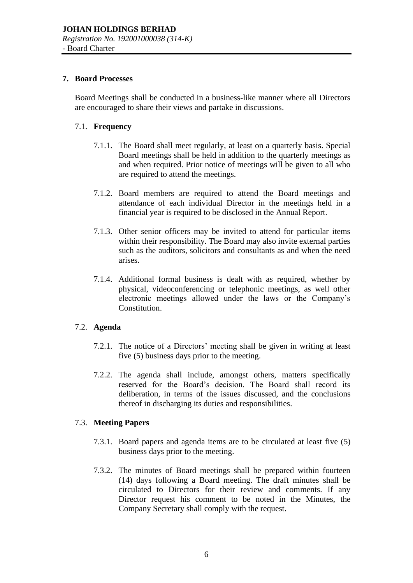#### **7. Board Processes**

Board Meetings shall be conducted in a business-like manner where all Directors are encouraged to share their views and partake in discussions.

### 7.1. **Frequency**

- 7.1.1. The Board shall meet regularly, at least on a quarterly basis. Special Board meetings shall be held in addition to the quarterly meetings as and when required. Prior notice of meetings will be given to all who are required to attend the meetings.
- 7.1.2. Board members are required to attend the Board meetings and attendance of each individual Director in the meetings held in a financial year is required to be disclosed in the Annual Report.
- 7.1.3. Other senior officers may be invited to attend for particular items within their responsibility. The Board may also invite external parties such as the auditors, solicitors and consultants as and when the need arises.
- 7.1.4. Additional formal business is dealt with as required, whether by physical, videoconferencing or telephonic meetings, as well other electronic meetings allowed under the laws or the Company's Constitution.

## 7.2. **Agenda**

- 7.2.1. The notice of a Directors' meeting shall be given in writing at least five (5) business days prior to the meeting.
- 7.2.2. The agenda shall include, amongst others, matters specifically reserved for the Board's decision. The Board shall record its deliberation, in terms of the issues discussed, and the conclusions thereof in discharging its duties and responsibilities.

#### 7.3. **Meeting Papers**

- 7.3.1. Board papers and agenda items are to be circulated at least five (5) business days prior to the meeting.
- 7.3.2. The minutes of Board meetings shall be prepared within fourteen (14) days following a Board meeting. The draft minutes shall be circulated to Directors for their review and comments. If any Director request his comment to be noted in the Minutes, the Company Secretary shall comply with the request.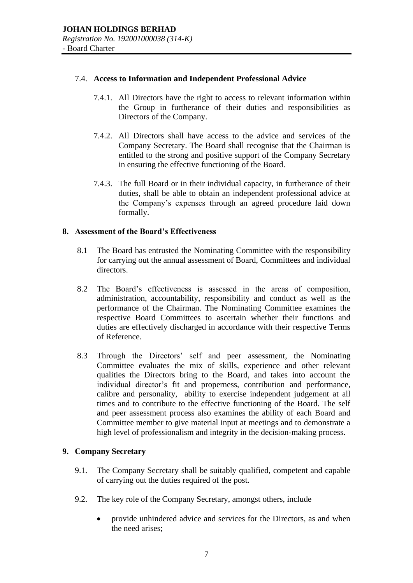#### 7.4. **Access to Information and Independent Professional Advice**

- 7.4.1. All Directors have the right to access to relevant information within the Group in furtherance of their duties and responsibilities as Directors of the Company.
- 7.4.2. All Directors shall have access to the advice and services of the Company Secretary. The Board shall recognise that the Chairman is entitled to the strong and positive support of the Company Secretary in ensuring the effective functioning of the Board.
- 7.4.3. The full Board or in their individual capacity, in furtherance of their duties, shall be able to obtain an independent professional advice at the Company's expenses through an agreed procedure laid down formally.

### **8. Assessment of the Board's Effectiveness**

- 8.1 The Board has entrusted the Nominating Committee with the responsibility for carrying out the annual assessment of Board, Committees and individual directors.
- 8.2 The Board's effectiveness is assessed in the areas of composition, administration, accountability, responsibility and conduct as well as the performance of the Chairman. The Nominating Committee examines the respective Board Committees to ascertain whether their functions and duties are effectively discharged in accordance with their respective Terms of Reference.
- 8.3 Through the Directors' self and peer assessment, the Nominating Committee evaluates the mix of skills, experience and other relevant qualities the Directors bring to the Board, and takes into account the individual director's fit and properness, contribution and performance, calibre and personality, ability to exercise independent judgement at all times and to contribute to the effective functioning of the Board. The self and peer assessment process also examines the ability of each Board and Committee member to give material input at meetings and to demonstrate a high level of professionalism and integrity in the decision-making process.

## **9. Company Secretary**

- 9.1. The Company Secretary shall be suitably qualified, competent and capable of carrying out the duties required of the post.
- 9.2. The key role of the Company Secretary, amongst others, include
	- provide unhindered advice and services for the Directors, as and when the need arises;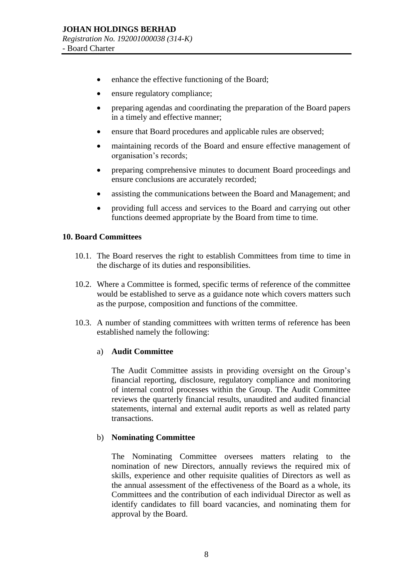- enhance the effective functioning of the Board;
- ensure regulatory compliance;
- preparing agendas and coordinating the preparation of the Board papers in a timely and effective manner;
- ensure that Board procedures and applicable rules are observed;
- maintaining records of the Board and ensure effective management of organisation's records;
- preparing comprehensive minutes to document Board proceedings and ensure conclusions are accurately recorded;
- assisting the communications between the Board and Management; and
- providing full access and services to the Board and carrying out other functions deemed appropriate by the Board from time to time.

### **10. Board Committees**

- 10.1. The Board reserves the right to establish Committees from time to time in the discharge of its duties and responsibilities.
- 10.2. Where a Committee is formed, specific terms of reference of the committee would be established to serve as a guidance note which covers matters such as the purpose, composition and functions of the committee.
- 10.3. A number of standing committees with written terms of reference has been established namely the following:

#### a) **Audit Committee**

The Audit Committee assists in providing oversight on the Group's financial reporting, disclosure, regulatory compliance and monitoring of internal control processes within the Group. The Audit Committee reviews the quarterly financial results, unaudited and audited financial statements, internal and external audit reports as well as related party transactions.

## b) **Nominating Committee**

The Nominating Committee oversees matters relating to the nomination of new Directors, annually reviews the required mix of skills, experience and other requisite qualities of Directors as well as the annual assessment of the effectiveness of the Board as a whole, its Committees and the contribution of each individual Director as well as identify candidates to fill board vacancies, and nominating them for approval by the Board.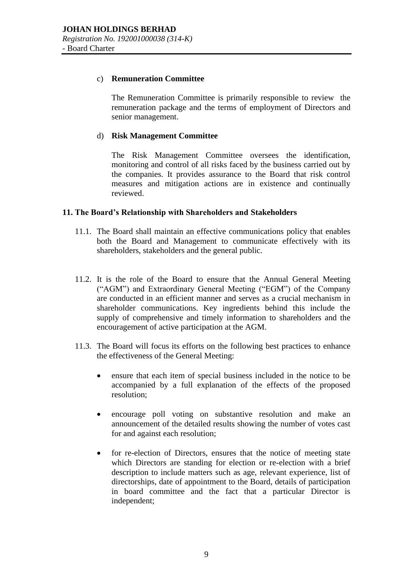#### c) **Remuneration Committee**

The Remuneration Committee is primarily responsible to review the remuneration package and the terms of employment of Directors and senior management.

### d) **Risk Management Committee**

The Risk Management Committee oversees the identification, monitoring and control of all risks faced by the business carried out by the companies. It provides assurance to the Board that risk control measures and mitigation actions are in existence and continually reviewed.

### **11. The Board's Relationship with Shareholders and Stakeholders**

- 11.1. The Board shall maintain an effective communications policy that enables both the Board and Management to communicate effectively with its shareholders, stakeholders and the general public.
- 11.2. It is the role of the Board to ensure that the Annual General Meeting ("AGM") and Extraordinary General Meeting ("EGM") of the Company are conducted in an efficient manner and serves as a crucial mechanism in shareholder communications. Key ingredients behind this include the supply of comprehensive and timely information to shareholders and the encouragement of active participation at the AGM.
- 11.3. The Board will focus its efforts on the following best practices to enhance the effectiveness of the General Meeting:
	- ensure that each item of special business included in the notice to be accompanied by a full explanation of the effects of the proposed resolution;
	- encourage poll voting on substantive resolution and make an announcement of the detailed results showing the number of votes cast for and against each resolution;
	- for re-election of Directors, ensures that the notice of meeting state which Directors are standing for election or re-election with a brief description to include matters such as age, relevant experience, list of directorships, date of appointment to the Board, details of participation in board committee and the fact that a particular Director is independent;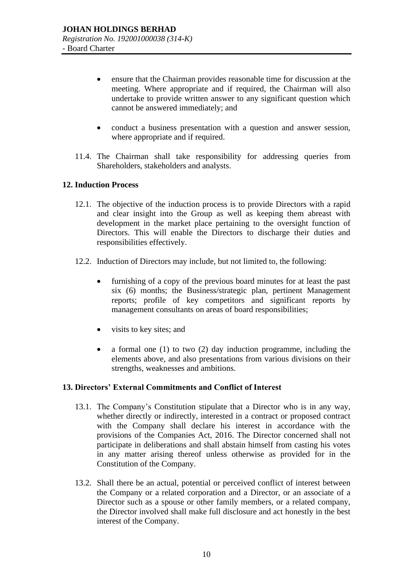- ensure that the Chairman provides reasonable time for discussion at the meeting. Where appropriate and if required, the Chairman will also undertake to provide written answer to any significant question which cannot be answered immediately; and
- conduct a business presentation with a question and answer session, where appropriate and if required.
- 11.4. The Chairman shall take responsibility for addressing queries from Shareholders, stakeholders and analysts.

### **12. Induction Process**

- 12.1. The objective of the induction process is to provide Directors with a rapid and clear insight into the Group as well as keeping them abreast with development in the market place pertaining to the oversight function of Directors. This will enable the Directors to discharge their duties and responsibilities effectively.
- 12.2. Induction of Directors may include, but not limited to, the following:
	- furnishing of a copy of the previous board minutes for at least the past six (6) months; the Business/strategic plan, pertinent Management reports; profile of key competitors and significant reports by management consultants on areas of board responsibilities;
	- visits to key sites; and
	- a formal one (1) to two (2) day induction programme, including the elements above, and also presentations from various divisions on their strengths, weaknesses and ambitions.

#### **13. Directors' External Commitments and Conflict of Interest**

- 13.1. The Company's Constitution stipulate that a Director who is in any way, whether directly or indirectly, interested in a contract or proposed contract with the Company shall declare his interest in accordance with the provisions of the Companies Act, 2016. The Director concerned shall not participate in deliberations and shall abstain himself from casting his votes in any matter arising thereof unless otherwise as provided for in the Constitution of the Company.
- 13.2. Shall there be an actual, potential or perceived conflict of interest between the Company or a related corporation and a Director, or an associate of a Director such as a spouse or other family members, or a related company, the Director involved shall make full disclosure and act honestly in the best interest of the Company.